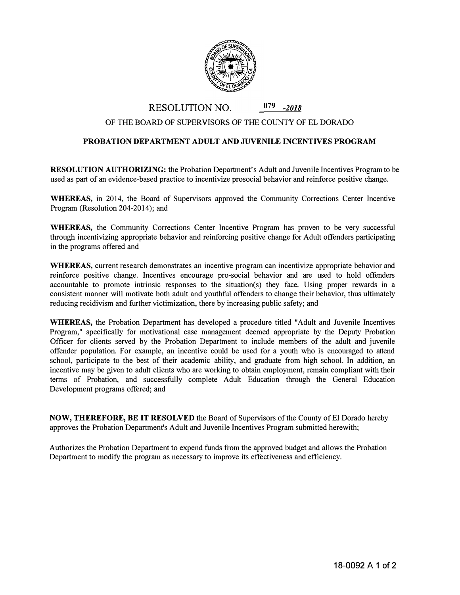

RESOLUTION NO. **079** *-2018*

## OF THE BOARD OF SUPERVISORS OF THE COUNTY OF EL DORADO

## **PROBATION DEPARTMENT ADULT AND JUVENILE INCENTIVES PROGRAM**

**RESOLUTION AUTHORIZING:** the Probation Department's Adult and Juvenile Incentives Program to be used as part of an evidence-based practice to incentivize prosocial behavior and reinforce positive change.

**WHEREAS,** in 2014, the Board of Supervisors approved the Community Corrections Center Incentive Program (Resolution 204-2014); and

**WHEREAS,** the Community Corrections Center Incentive Program has proven to be very successful through incentivizing appropriate behavior and reinforcing positive change for Adult offenders participating in the programs offered and

**WHEREAS,** current research demonstrates an incentive program can incentivize appropriate behavior and reinforce positive change. Incentives encourage pro-social behavior and are used to hold offenders accountable to promote intrinsic responses to the situation(s) they face. Using proper rewards in a consistent manner will motivate both adult and youthful offenders to change their behavior, thus ultimately reducing recidivism and further victimization, there by increasing public safety; and

**WHEREAS,** the Probation Department has developed a procedure titled "Adult and Juvenile Incentives Program," specifically for motivational case management deemed appropriate by the Deputy Probation Officer for clients served by the Probation Department to include members of the adult and juvenile offender population. For example, an incentive could be used for a youth who is encouraged to attend school, participate to the best of their academic ability, and graduate from high school. In addition, an incentive may be given to adult clients who are working to obtain employment, remain compliant with their terms of Probation, and successfully complete Adult Education through the General Education Development programs offered; and

**NOW, THEREFORE, BE** IT **RESOLVED** the Board of Supervisors of the County of EI Dorado hereby approves the Probation Department's Adult and Juvenile Incentives Program submitted herewith;

Authorizes the Probation Department to expend funds from the approved budget and allows the Probation Department to modify the program as necessary to improve its effectiveness and efficiency.